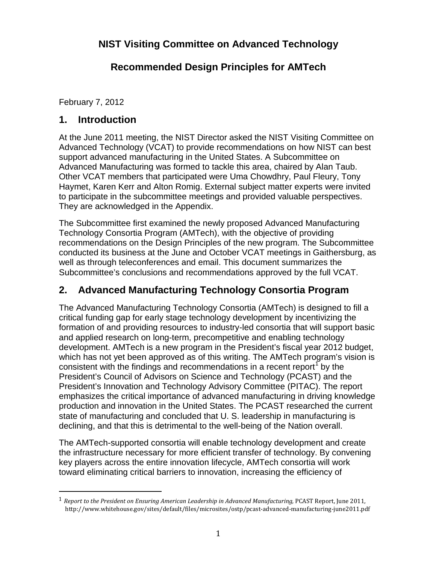# **NIST Visiting Committee on Advanced Technology**

# **Recommended Design Principles for AMTech**

February 7, 2012

## **1. Introduction**

At the June 2011 meeting, the NIST Director asked the NIST Visiting Committee on Advanced Technology (VCAT) to provide recommendations on how NIST can best support advanced manufacturing in the United States. A Subcommittee on Advanced Manufacturing was formed to tackle this area, chaired by Alan Taub. Other VCAT members that participated were Uma Chowdhry, Paul Fleury, Tony Haymet, Karen Kerr and Alton Romig. External subject matter experts were invited to participate in the subcommittee meetings and provided valuable perspectives. They are acknowledged in the Appendix.

The Subcommittee first examined the newly proposed Advanced Manufacturing Technology Consortia Program (AMTech), with the objective of providing recommendations on the Design Principles of the new program. The Subcommittee conducted its business at the June and October VCAT meetings in Gaithersburg, as well as through teleconferences and email. This document summarizes the Subcommittee's conclusions and recommendations approved by the full VCAT.

# **2. Advanced Manufacturing Technology Consortia Program**

The Advanced Manufacturing Technology Consortia (AMTech) is designed to fill a critical funding gap for early stage technology development by incentivizing the formation of and providing resources to industry-led consortia that will support basic and applied research on long-term, precompetitive and enabling technology development. AMTech is a new program in the President's fiscal year 2012 budget, which has not yet been approved as of this writing. The AMTech program's vision is consistent with the findings and recommendations in a recent report<sup>[1](#page-0-0)</sup> by the President's Council of Advisors on Science and Technology (PCAST) and the President's Innovation and Technology Advisory Committee (PITAC). The report emphasizes the critical importance of advanced manufacturing in driving knowledge production and innovation in the United States. The PCAST researched the current state of manufacturing and concluded that U. S. leadership in manufacturing is declining, and that this is detrimental to the well-being of the Nation overall.

The AMTech-supported consortia will enable technology development and create the infrastructure necessary for more efficient transfer of technology. By convening key players across the entire innovation lifecycle, AMTech consortia will work toward eliminating critical barriers to innovation, increasing the efficiency of

<span id="page-0-0"></span> <sup>1</sup> *Report to the President on Ensuring American Leadership in Advanced Manufacturing,* PCAST Report, June 2011, http://www.whitehouse.gov/sites/default/files/microsites/ostp/pcast-advanced-manufacturing-june2011.pdf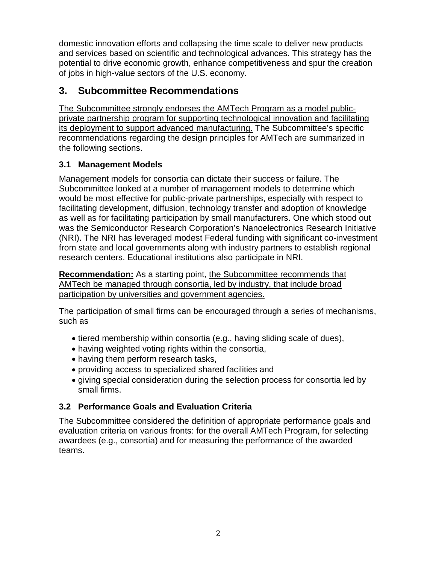domestic innovation efforts and collapsing the time scale to deliver new products and services based on scientific and technological advances. This strategy has the potential to drive economic growth, enhance competitiveness and spur the creation of jobs in high-value sectors of the U.S. economy.

## **3. Subcommittee Recommendations**

The Subcommittee strongly endorses the AMTech Program as a model publicprivate partnership program for supporting technological innovation and facilitating its deployment to support advanced manufacturing. The Subcommittee's specific recommendations regarding the design principles for AMTech are summarized in the following sections.

## **3.1 Management Models**

Management models for consortia can dictate their success or failure. The Subcommittee looked at a number of management models to determine which would be most effective for public-private partnerships, especially with respect to facilitating development, diffusion, technology transfer and adoption of knowledge as well as for facilitating participation by small manufacturers. One which stood out was the Semiconductor Research Corporation's Nanoelectronics Research Initiative (NRI). The NRI has leveraged modest Federal funding with significant co-investment from state and local governments along with industry partners to establish regional research centers. Educational institutions also participate in NRI.

**Recommendation:** As a starting point, the Subcommittee recommends that AMTech be managed through consortia, led by industry, that include broad participation by universities and government agencies.

The participation of small firms can be encouraged through a series of mechanisms, such as

- tiered membership within consortia (e.g., having sliding scale of dues),
- having weighted voting rights within the consortia,
- having them perform research tasks,
- providing access to specialized shared facilities and
- giving special consideration during the selection process for consortia led by small firms.

## **3.2 Performance Goals and Evaluation Criteria**

The Subcommittee considered the definition of appropriate performance goals and evaluation criteria on various fronts: for the overall AMTech Program, for selecting awardees (e.g., consortia) and for measuring the performance of the awarded teams.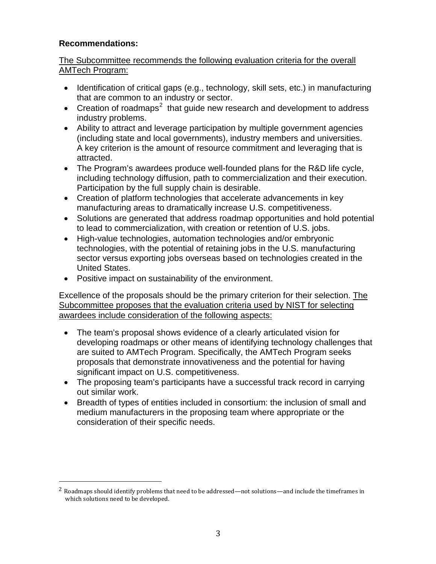#### **Recommendations:**

#### The Subcommittee recommends the following evaluation criteria for the overall AMTech Program:

- Identification of critical gaps (e.g., technology, skill sets, etc.) in manufacturing that are common to an industry or sector.
- Creation of roadmaps<sup>[2](#page-2-0)</sup> that guide new research and development to address industry problems.
- Ability to attract and leverage participation by multiple government agencies (including state and local governments), industry members and universities. A key criterion is the amount of resource commitment and leveraging that is attracted.
- The Program's awardees produce well-founded plans for the R&D life cycle, including technology diffusion, path to commercialization and their execution. Participation by the full supply chain is desirable.
- Creation of platform technologies that accelerate advancements in key manufacturing areas to dramatically increase U.S. competitiveness.
- Solutions are generated that address roadmap opportunities and hold potential to lead to commercialization, with creation or retention of U.S. jobs.
- High-value technologies, automation technologies and/or embryonic technologies, with the potential of retaining jobs in the U.S. manufacturing sector versus exporting jobs overseas based on technologies created in the United States.
- Positive impact on sustainability of the environment.

Excellence of the proposals should be the primary criterion for their selection. The Subcommittee proposes that the evaluation criteria used by NIST for selecting awardees include consideration of the following aspects:

- The team's proposal shows evidence of a clearly articulated vision for developing roadmaps or other means of identifying technology challenges that are suited to AMTech Program. Specifically, the AMTech Program seeks proposals that demonstrate innovativeness and the potential for having significant impact on U.S. competitiveness.
- The proposing team's participants have a successful track record in carrying out similar work.
- Breadth of types of entities included in consortium: the inclusion of small and medium manufacturers in the proposing team where appropriate or the consideration of their specific needs.

<span id="page-2-0"></span><sup>&</sup>lt;sup>2</sup> Roadmaps should identify problems that need to be addressed—not solutions—and include the timeframes in which solutions need to be developed.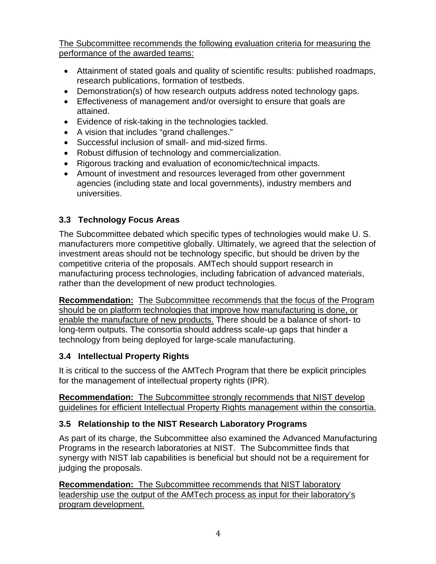The Subcommittee recommends the following evaluation criteria for measuring the performance of the awarded teams:

- Attainment of stated goals and quality of scientific results: published roadmaps, research publications, formation of testbeds.
- Demonstration(s) of how research outputs address noted technology gaps.
- Effectiveness of management and/or oversight to ensure that goals are attained.
- Evidence of risk-taking in the technologies tackled.
- A vision that includes "grand challenges."
- Successful inclusion of small- and mid-sized firms.
- Robust diffusion of technology and commercialization.
- Rigorous tracking and evaluation of economic/technical impacts.
- Amount of investment and resources leveraged from other government agencies (including state and local governments), industry members and universities.

## **3.3 Technology Focus Areas**

The Subcommittee debated which specific types of technologies would make U. S. manufacturers more competitive globally. Ultimately, we agreed that the selection of investment areas should not be technology specific, but should be driven by the competitive criteria of the proposals. AMTech should support research in manufacturing process technologies, including fabrication of advanced materials, rather than the development of new product technologies.

**Recommendation:** The Subcommittee recommends that the focus of the Program should be on platform technologies that improve how manufacturing is done, or enable the manufacture of new products. There should be a balance of short- to long-term outputs. The consortia should address scale-up gaps that hinder a technology from being deployed for large-scale manufacturing.

## **3.4 Intellectual Property Rights**

It is critical to the success of the AMTech Program that there be explicit principles for the management of intellectual property rights (IPR).

**Recommendation:** The Subcommittee strongly recommends that NIST develop guidelines for efficient Intellectual Property Rights management within the consortia.

## **3.5 Relationship to the NIST Research Laboratory Programs**

As part of its charge, the Subcommittee also examined the Advanced Manufacturing Programs in the research laboratories at NIST. The Subcommittee finds that synergy with NIST lab capabilities is beneficial but should not be a requirement for judging the proposals.

**Recommendation:** The Subcommittee recommends that NIST laboratory leadership use the output of the AMTech process as input for their laboratory's program development.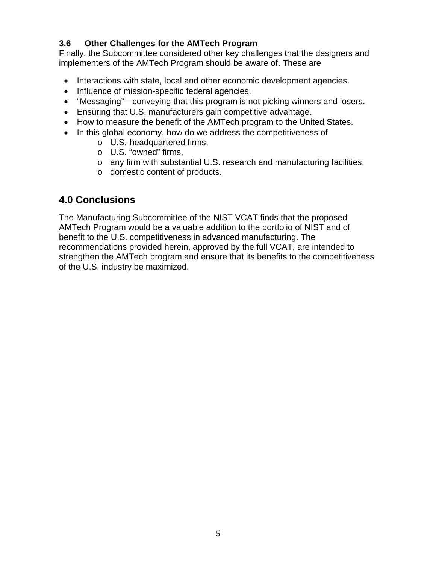## **3.6 Other Challenges for the AMTech Program**

Finally, the Subcommittee considered other key challenges that the designers and implementers of the AMTech Program should be aware of. These are

- Interactions with state, local and other economic development agencies.
- Influence of mission-specific federal agencies.
- "Messaging"—conveying that this program is not picking winners and losers.
- Ensuring that U.S. manufacturers gain competitive advantage.
- How to measure the benefit of the AMTech program to the United States.
- In this global economy, how do we address the competitiveness of
	- o U.S.-headquartered firms,
	- o U.S. "owned" firms,
	- o any firm with substantial U.S. research and manufacturing facilities,
	- o domestic content of products.

## **4.0 Conclusions**

The Manufacturing Subcommittee of the NIST VCAT finds that the proposed AMTech Program would be a valuable addition to the portfolio of NIST and of benefit to the U.S. competitiveness in advanced manufacturing. The recommendations provided herein, approved by the full VCAT, are intended to strengthen the AMTech program and ensure that its benefits to the competitiveness of the U.S. industry be maximized.